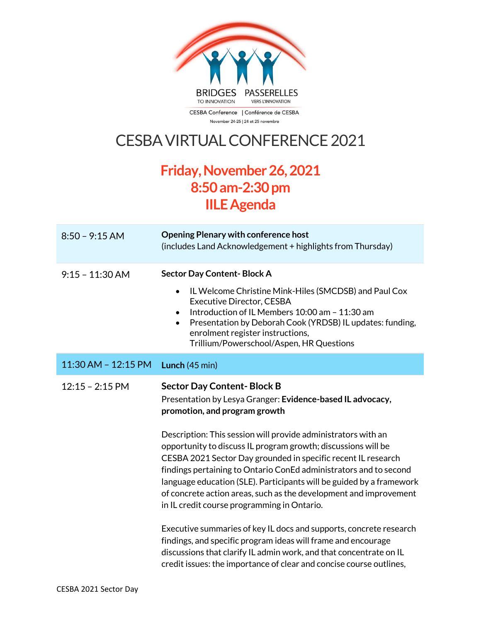

November 24-25 | 24 et 25 novembre

## CESBA VIRTUAL CONFERENCE 2021

## **Friday,November 26, 2021 8:50am-2:30 pm IILEAgenda**

| $8:50 - 9:15$ AM        | <b>Opening Plenary with conference host</b><br>(includes Land Acknowledgement + highlights from Thursday)                                                                                                                                                                                                                                                                                                                                                        |
|-------------------------|------------------------------------------------------------------------------------------------------------------------------------------------------------------------------------------------------------------------------------------------------------------------------------------------------------------------------------------------------------------------------------------------------------------------------------------------------------------|
| $9:15 - 11:30$ AM       | <b>Sector Day Content-Block A</b><br>IL Welcome Christine Mink-Hiles (SMCDSB) and Paul Cox<br>$\bullet$<br><b>Executive Director, CESBA</b>                                                                                                                                                                                                                                                                                                                      |
|                         | Introduction of IL Members 10:00 am - 11:30 am<br>$\bullet$<br>Presentation by Deborah Cook (YRDSB) IL updates: funding,<br>$\bullet$<br>enrolment register instructions,<br>Trillium/Powerschool/Aspen, HR Questions                                                                                                                                                                                                                                            |
| $11:30$ AM - $12:15$ PM | <b>Lunch</b> $(45 \text{ min})$                                                                                                                                                                                                                                                                                                                                                                                                                                  |
| $12:15 - 2:15$ PM       | <b>Sector Day Content-Block B</b><br>Presentation by Lesya Granger: Evidence-based IL advocacy,<br>promotion, and program growth                                                                                                                                                                                                                                                                                                                                 |
|                         | Description: This session will provide administrators with an<br>opportunity to discuss IL program growth; discussions will be<br>CESBA 2021 Sector Day grounded in specific recent IL research<br>findings pertaining to Ontario ConEd administrators and to second<br>language education (SLE). Participants will be guided by a framework<br>of concrete action areas, such as the development and improvement<br>in IL credit course programming in Ontario. |
|                         | Executive summaries of key IL docs and supports, concrete research<br>findings, and specific program ideas will frame and encourage<br>discussions that clarify IL admin work, and that concentrate on IL<br>credit issues: the importance of clear and concise course outlines,                                                                                                                                                                                 |